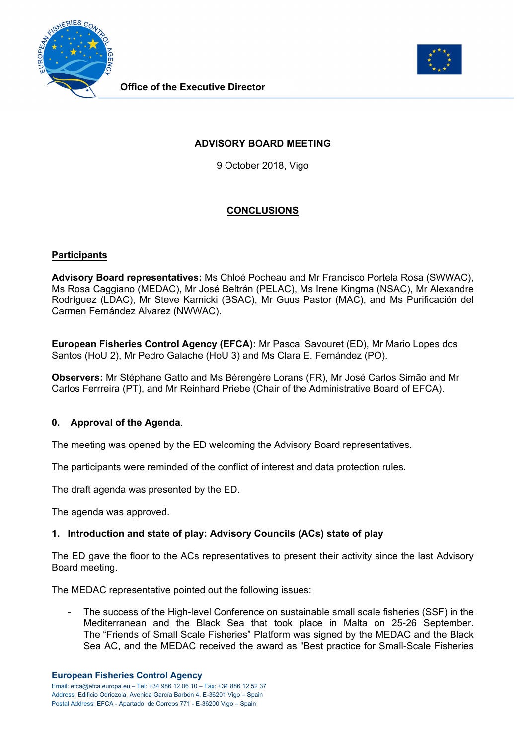



## **ADVISORY BOARD MEETING**

9 October 2018, Vigo

# **CONCLUSIONS**

## **Participants**

**Advisory Board representatives:** Ms Chloé Pocheau and Mr Francisco Portela Rosa (SWWAC), Ms Rosa Caggiano (MEDAC), Mr José Beltrán (PELAC), Ms Irene Kingma (NSAC), Mr Alexandre Rodríguez (LDAC), Mr Steve Karnicki (BSAC), Mr Guus Pastor (MAC), and Ms Purificación del Carmen Fernández Alvarez (NWWAC).

**European Fisheries Control Agency (EFCA):** Mr Pascal Savouret (ED), Mr Mario Lopes dos Santos (HoU 2), Mr Pedro Galache (HoU 3) and Ms Clara E. Fernández (PO).

**Observers:** Mr Stéphane Gatto and Ms Bérengère Lorans (FR), Mr José Carlos Simão and Mr Carlos Ferrreira (PT), and Mr Reinhard Priebe (Chair of the Administrative Board of EFCA).

### **0. Approval of the Agenda**.

The meeting was opened by the ED welcoming the Advisory Board representatives.

The participants were reminded of the conflict of interest and data protection rules.

The draft agenda was presented by the ED.

The agenda was approved.

### **1. Introduction and state of play: Advisory Councils (ACs) state of play**

The ED gave the floor to the ACs representatives to present their activity since the last Advisory Board meeting.

The MEDAC representative pointed out the following issues:

The success of the High-level Conference on sustainable small scale fisheries (SSF) in the Mediterranean and the Black Sea that took place in Malta on 25-26 September. The "Friends of Small Scale Fisheries" Platform was signed by the MEDAC and the Black Sea AC, and the MEDAC received the award as "Best practice for Small-Scale Fisheries

#### **European Fisheries Control Agency**

Email: efca@efca.europa.eu – Tel: +34 986 12 06 10 – Fax: +34 886 12 52 37 Address: Edificio Odriozola, Avenida García Barbón 4, E-36201 Vigo – Spain Postal Address: EFCA - Apartado de Correos 771 - E-36200 Vigo – Spain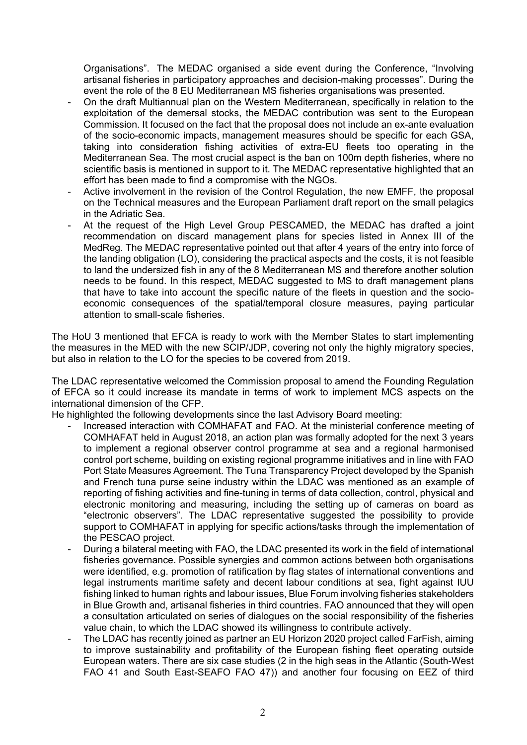Organisations". The MEDAC organised a side event during the Conference, "Involving artisanal fisheries in participatory approaches and decision-making processes". During the event the role of the 8 EU Mediterranean MS fisheries organisations was presented.

- On the draft Multiannual plan on the Western Mediterranean, specifically in relation to the exploitation of the demersal stocks, the MEDAC contribution was sent to the European Commission. It focused on the fact that the proposal does not include an ex-ante evaluation of the socio-economic impacts, management measures should be specific for each GSA, taking into consideration fishing activities of extra-EU fleets too operating in the Mediterranean Sea. The most crucial aspect is the ban on 100m depth fisheries, where no scientific basis is mentioned in support to it. The MEDAC representative highlighted that an effort has been made to find a compromise with the NGOs.
- Active involvement in the revision of the Control Regulation, the new EMFF, the proposal on the Technical measures and the European Parliament draft report on the small pelagics in the Adriatic Sea.
- At the request of the High Level Group PESCAMED, the MEDAC has drafted a joint recommendation on discard management plans for species listed in Annex III of the MedReg. The MEDAC representative pointed out that after 4 years of the entry into force of the landing obligation (LO), considering the practical aspects and the costs, it is not feasible to land the undersized fish in any of the 8 Mediterranean MS and therefore another solution needs to be found. In this respect, MEDAC suggested to MS to draft management plans that have to take into account the specific nature of the fleets in question and the socioeconomic consequences of the spatial/temporal closure measures, paying particular attention to small-scale fisheries.

The HoU 3 mentioned that EFCA is ready to work with the Member States to start implementing the measures in the MED with the new SCIP/JDP, covering not only the highly migratory species, but also in relation to the LO for the species to be covered from 2019.

The LDAC representative welcomed the Commission proposal to amend the Founding Regulation of EFCA so it could increase its mandate in terms of work to implement MCS aspects on the international dimension of the CFP.

He highlighted the following developments since the last Advisory Board meeting:

- Increased interaction with COMHAFAT and FAO. At the ministerial conference meeting of COMHAFAT held in August 2018, an action plan was formally adopted for the next 3 years to implement a regional observer control programme at sea and a regional harmonised control port scheme, building on existing regional programme initiatives and in line with FAO Port State Measures Agreement. The Tuna Transparency Project developed by the Spanish and French tuna purse seine industry within the LDAC was mentioned as an example of reporting of fishing activities and fine-tuning in terms of data collection, control, physical and electronic monitoring and measuring, including the setting up of cameras on board as "electronic observers". The LDAC representative suggested the possibility to provide support to COMHAFAT in applying for specific actions/tasks through the implementation of the PESCAO project.
- During a bilateral meeting with FAO, the LDAC presented its work in the field of international fisheries governance. Possible synergies and common actions between both organisations were identified, e.g. promotion of ratification by flag states of international conventions and legal instruments maritime safety and decent labour conditions at sea, fight against IUU fishing linked to human rights and labour issues, Blue Forum involving fisheries stakeholders in Blue Growth and, artisanal fisheries in third countries. FAO announced that they will open a consultation articulated on series of dialogues on the social responsibility of the fisheries value chain, to which the LDAC showed its willingness to contribute actively.
- The LDAC has recently joined as partner an EU Horizon 2020 project called FarFish, aiming to improve sustainability and profitability of the European fishing fleet operating outside European waters. There are six case studies (2 in the high seas in the Atlantic (South-West FAO 41 and South East-SEAFO FAO 47)) and another four focusing on EEZ of third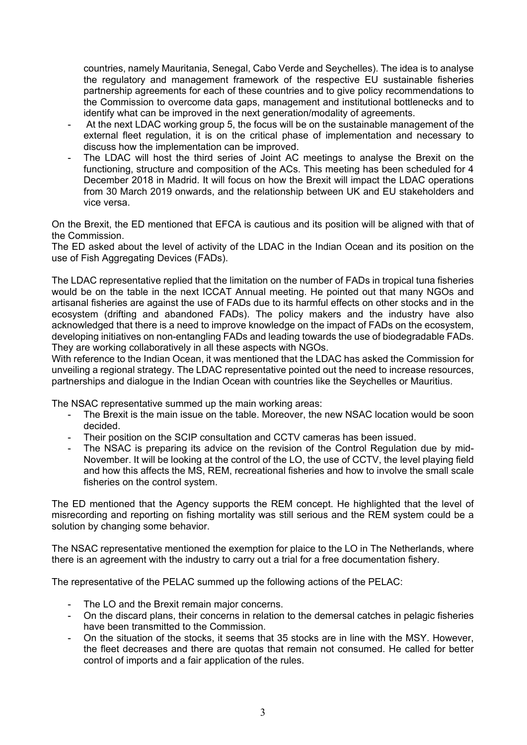countries, namely Mauritania, Senegal, Cabo Verde and Seychelles). The idea is to analyse the regulatory and management framework of the respective EU sustainable fisheries partnership agreements for each of these countries and to give policy recommendations to the Commission to overcome data gaps, management and institutional bottlenecks and to identify what can be improved in the next generation/modality of agreements.

- At the next LDAC working group 5, the focus will be on the sustainable management of the external fleet regulation, it is on the critical phase of implementation and necessary to discuss how the implementation can be improved.
- The LDAC will host the third series of Joint AC meetings to analyse the Brexit on the functioning, structure and composition of the ACs. This meeting has been scheduled for 4 December 2018 in Madrid. It will focus on how the Brexit will impact the LDAC operations from 30 March 2019 onwards, and the relationship between UK and EU stakeholders and vice versa.

On the Brexit, the ED mentioned that EFCA is cautious and its position will be aligned with that of the Commission.

The ED asked about the level of activity of the LDAC in the Indian Ocean and its position on the use of Fish Aggregating Devices (FADs).

The LDAC representative replied that the limitation on the number of FADs in tropical tuna fisheries would be on the table in the next ICCAT Annual meeting. He pointed out that many NGOs and artisanal fisheries are against the use of FADs due to its harmful effects on other stocks and in the ecosystem (drifting and abandoned FADs). The policy makers and the industry have also acknowledged that there is a need to improve knowledge on the impact of FADs on the ecosystem, developing initiatives on non-entangling FADs and leading towards the use of biodegradable FADs. They are working collaboratively in all these aspects with NGOs.

With reference to the Indian Ocean, it was mentioned that the LDAC has asked the Commission for unveiling a regional strategy. The LDAC representative pointed out the need to increase resources, partnerships and dialogue in the Indian Ocean with countries like the Seychelles or Mauritius.

The NSAC representative summed up the main working areas:

- The Brexit is the main issue on the table. Moreover, the new NSAC location would be soon decided.
- Their position on the SCIP consultation and CCTV cameras has been issued.
- The NSAC is preparing its advice on the revision of the Control Regulation due by mid-November. It will be looking at the control of the LO, the use of CCTV, the level playing field and how this affects the MS, REM, recreational fisheries and how to involve the small scale fisheries on the control system.

The ED mentioned that the Agency supports the REM concept. He highlighted that the level of misrecording and reporting on fishing mortality was still serious and the REM system could be a solution by changing some behavior.

The NSAC representative mentioned the exemption for plaice to the LO in The Netherlands, where there is an agreement with the industry to carry out a trial for a free documentation fishery.

The representative of the PELAC summed up the following actions of the PELAC:

- The LO and the Brexit remain major concerns.
- On the discard plans, their concerns in relation to the demersal catches in pelagic fisheries have been transmitted to the Commission.
- On the situation of the stocks, it seems that 35 stocks are in line with the MSY. However, the fleet decreases and there are quotas that remain not consumed. He called for better control of imports and a fair application of the rules.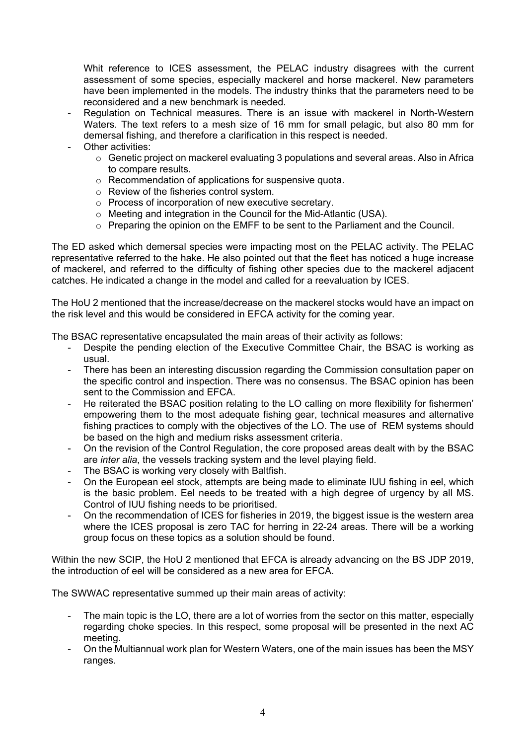Whit reference to ICES assessment, the PELAC industry disagrees with the current assessment of some species, especially mackerel and horse mackerel. New parameters have been implemented in the models. The industry thinks that the parameters need to be reconsidered and a new benchmark is needed.

- Regulation on Technical measures. There is an issue with mackerel in North-Western Waters. The text refers to a mesh size of 16 mm for small pelagic, but also 80 mm for demersal fishing, and therefore a clarification in this respect is needed.
- Other activities:
	- o Genetic project on mackerel evaluating 3 populations and several areas. Also in Africa to compare results.
	- o Recommendation of applications for suspensive quota.
	- o Review of the fisheries control system.
	- o Process of incorporation of new executive secretary.
	- o Meeting and integration in the Council for the Mid-Atlantic (USA).
	- o Preparing the opinion on the EMFF to be sent to the Parliament and the Council.

The ED asked which demersal species were impacting most on the PELAC activity. The PELAC representative referred to the hake. He also pointed out that the fleet has noticed a huge increase of mackerel, and referred to the difficulty of fishing other species due to the mackerel adjacent catches. He indicated a change in the model and called for a reevaluation by ICES.

The HoU 2 mentioned that the increase/decrease on the mackerel stocks would have an impact on the risk level and this would be considered in EFCA activity for the coming year.

The BSAC representative encapsulated the main areas of their activity as follows:

- Despite the pending election of the Executive Committee Chair, the BSAC is working as usual.
- There has been an interesting discussion regarding the Commission consultation paper on the specific control and inspection. There was no consensus. The BSAC opinion has been sent to the Commission and EFCA.
- He reiterated the BSAC position relating to the LO calling on more flexibility for fishermen' empowering them to the most adequate fishing gear, technical measures and alternative fishing practices to comply with the objectives of the LO. The use of REM systems should be based on the high and medium risks assessment criteria.
- On the revision of the Control Regulation, the core proposed areas dealt with by the BSAC are *inter alia*, the vessels tracking system and the level playing field.
- The BSAC is working very closely with Baltfish.
- On the European eel stock, attempts are being made to eliminate IUU fishing in eel, which is the basic problem. Eel needs to be treated with a high degree of urgency by all MS. Control of IUU fishing needs to be prioritised.
- On the recommendation of ICES for fisheries in 2019, the biggest issue is the western area where the ICES proposal is zero TAC for herring in 22-24 areas. There will be a working group focus on these topics as a solution should be found.

Within the new SCIP, the HoU 2 mentioned that EFCA is already advancing on the BS JDP 2019, the introduction of eel will be considered as a new area for EFCA.

The SWWAC representative summed up their main areas of activity:

- The main topic is the LO, there are a lot of worries from the sector on this matter, especially regarding choke species. In this respect, some proposal will be presented in the next AC meeting.
- On the Multiannual work plan for Western Waters, one of the main issues has been the MSY ranges.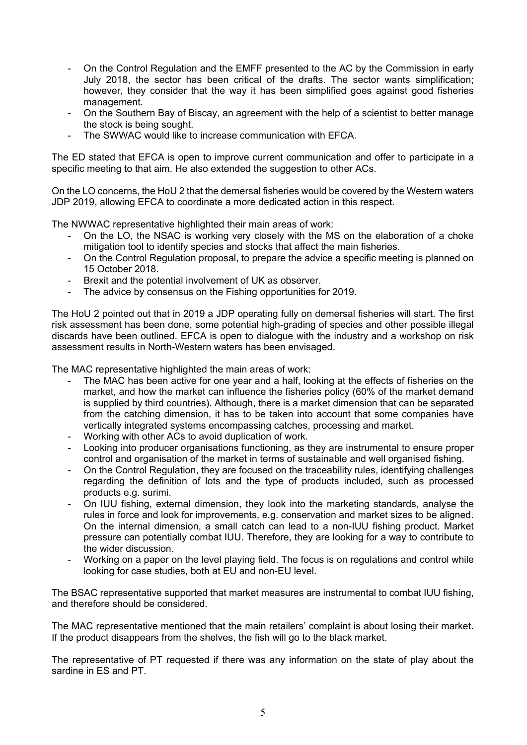- On the Control Regulation and the EMFF presented to the AC by the Commission in early July 2018, the sector has been critical of the drafts. The sector wants simplification; however, they consider that the way it has been simplified goes against good fisheries management.
- On the Southern Bay of Biscay, an agreement with the help of a scientist to better manage the stock is being sought.
- The SWWAC would like to increase communication with EFCA.

The ED stated that EFCA is open to improve current communication and offer to participate in a specific meeting to that aim. He also extended the suggestion to other ACs.

On the LO concerns, the HoU 2 that the demersal fisheries would be covered by the Western waters JDP 2019, allowing EFCA to coordinate a more dedicated action in this respect.

The NWWAC representative highlighted their main areas of work:

- On the LO, the NSAC is working very closely with the MS on the elaboration of a choke mitigation tool to identify species and stocks that affect the main fisheries.
- On the Control Regulation proposal, to prepare the advice a specific meeting is planned on 15 October 2018.
- Brexit and the potential involvement of UK as observer.
- The advice by consensus on the Fishing opportunities for 2019.

The HoU 2 pointed out that in 2019 a JDP operating fully on demersal fisheries will start. The first risk assessment has been done, some potential high-grading of species and other possible illegal discards have been outlined. EFCA is open to dialogue with the industry and a workshop on risk assessment results in North-Western waters has been envisaged.

The MAC representative highlighted the main areas of work:

- The MAC has been active for one year and a half, looking at the effects of fisheries on the market, and how the market can influence the fisheries policy (60% of the market demand is supplied by third countries). Although, there is a market dimension that can be separated from the catching dimension, it has to be taken into account that some companies have vertically integrated systems encompassing catches, processing and market.
- Working with other ACs to avoid duplication of work.
- Looking into producer organisations functioning, as they are instrumental to ensure proper control and organisation of the market in terms of sustainable and well organised fishing.
- On the Control Regulation, they are focused on the traceability rules, identifying challenges regarding the definition of lots and the type of products included, such as processed products e.g. surimi.
- On IUU fishing, external dimension, they look into the marketing standards, analyse the rules in force and look for improvements, e.g. conservation and market sizes to be aligned. On the internal dimension, a small catch can lead to a non-IUU fishing product. Market pressure can potentially combat IUU. Therefore, they are looking for a way to contribute to the wider discussion.
- Working on a paper on the level playing field. The focus is on regulations and control while looking for case studies, both at EU and non-EU level.

The BSAC representative supported that market measures are instrumental to combat IUU fishing, and therefore should be considered.

The MAC representative mentioned that the main retailers' complaint is about losing their market. If the product disappears from the shelves, the fish will go to the black market.

The representative of PT requested if there was any information on the state of play about the sardine in ES and PT.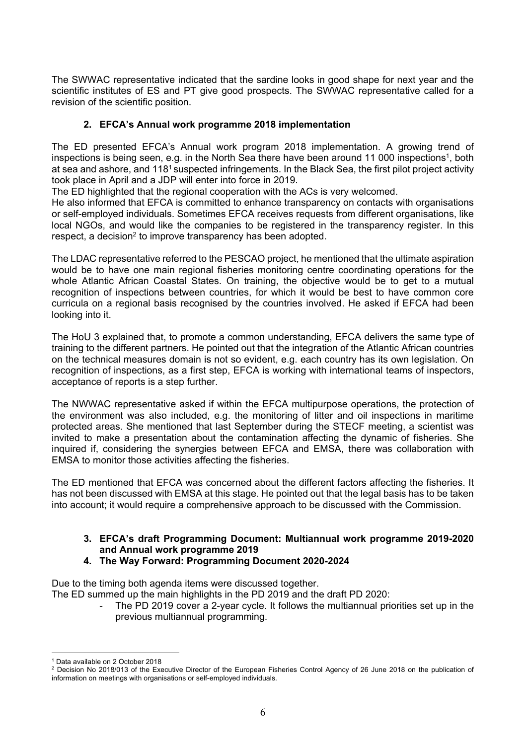The SWWAC representative indicated that the sardine looks in good shape for next year and the scientific institutes of ES and PT give good prospects. The SWWAC representative called for a revision of the scientific position.

## **2. EFCA's Annual work programme 2018 implementation**

The ED presented EFCA's Annual work program 2018 implementation. A growing trend of inspections is being seen, e.g. in the North Sea there have been around 11 000 inspections<sup>1</sup>, both at sea and ashore, and 1181 suspected infringements. In the Black Sea, the first pilot project activity took place in April and a JDP will enter into force in 2019.

The ED highlighted that the regional cooperation with the ACs is very welcomed.

He also informed that EFCA is committed to enhance transparency on contacts with organisations or self-employed individuals. Sometimes EFCA receives requests from different organisations, like local NGOs, and would like the companies to be registered in the transparency register. In this respect, a decision<sup>2</sup> to improve transparency has been adopted.

The LDAC representative referred to the PESCAO project, he mentioned that the ultimate aspiration would be to have one main regional fisheries monitoring centre coordinating operations for the whole Atlantic African Coastal States. On training, the objective would be to get to a mutual recognition of inspections between countries, for which it would be best to have common core curricula on a regional basis recognised by the countries involved. He asked if EFCA had been looking into it.

The HoU 3 explained that, to promote a common understanding, EFCA delivers the same type of training to the different partners. He pointed out that the integration of the Atlantic African countries on the technical measures domain is not so evident, e.g. each country has its own legislation. On recognition of inspections, as a first step, EFCA is working with international teams of inspectors, acceptance of reports is a step further.

The NWWAC representative asked if within the EFCA multipurpose operations, the protection of the environment was also included, e.g. the monitoring of litter and oil inspections in maritime protected areas. She mentioned that last September during the STECF meeting, a scientist was invited to make a presentation about the contamination affecting the dynamic of fisheries. She inquired if, considering the synergies between EFCA and EMSA, there was collaboration with EMSA to monitor those activities affecting the fisheries.

The ED mentioned that EFCA was concerned about the different factors affecting the fisheries. It has not been discussed with EMSA at this stage. He pointed out that the legal basis has to be taken into account; it would require a comprehensive approach to be discussed with the Commission.

## **3. EFCA's draft Programming Document: Multiannual work programme 2019-2020 and Annual work programme 2019**

**4. The Way Forward: Programming Document 2020-2024** 

Due to the timing both agenda items were discussed together.

The ED summed up the main highlights in the PD 2019 and the draft PD 2020:

The PD 2019 cover a 2-year cycle. It follows the multiannual priorities set up in the previous multiannual programming.

<u>.</u>

<sup>1</sup> Data available on 2 October 2018

<sup>&</sup>lt;sup>2</sup> Decision No 2018/013 of the Executive Director of the European Fisheries Control Agency of 26 June 2018 on the publication of information on meetings with organisations or self-employed individuals.